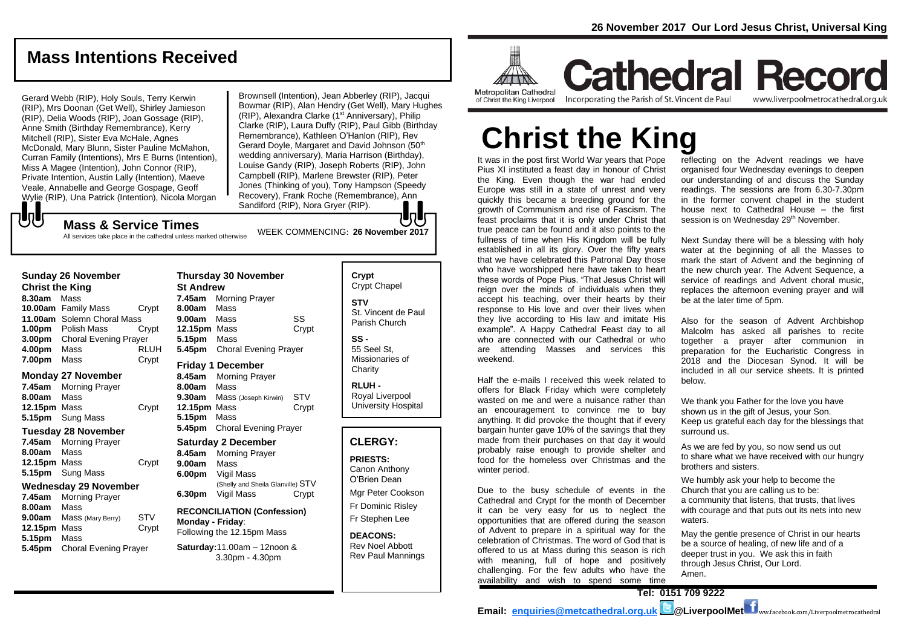## **Mass Intentions Received**

Gerard Webb (RIP), Holy Souls, Terry Kerwin (RIP), Mrs Doonan (Get Well), Shirley Jamieson (RIP), Delia Woods (RIP), Joan Gossage (RIP), Anne Smith (Birthday Remembrance), Kerry Mitchell (RIP), Sister Eva McHale, Agnes McDonald, Mary Blunn, Sister Pauline McMahon, Curran Family (Intentions), Mrs E Burns (Intention), Miss A Magee (Intention), John Connor (RIP), Private Intention, Austin Lally (Intention), Maeve Veale, Annabelle and George Gospage, Geoff Wylie (RIP), Una Patrick (Intention), Nicola Morgan Brownsell (Intention), Jean Abberley (RIP), Jacqui Bowmar (RIP), Alan Hendry (Get Well), Mary Hughes (RIP), Alexandra Clarke (1<sup>st</sup> Anniversary), Philip Clarke (RIP), Laura Duffy (RIP), Paul Gibb (Birthday Remembrance), Kathleen O'Hanlon (RIP), Rev Gerard Doyle, Margaret and David Johnson (50th wedding anniversary), Maria Harrison (Birthday), Louise Gandy (RIP), Joseph Roberts (RIP), John Campbell (RIP), Marlene Brewster (RIP), Peter Jones (Thinking of you), Tony Hampson (Speedy Recovery), Frank Roche (Remembrance), Ann Sandiford (RIP), Nora Gryer (RIP).

## WEEK COMMENCING: **<sup>26</sup> November <sup>2017</sup> Mass & Service Times**

All services take place in the cathedral unless marked otherwise

#### **Sunday 26 November**

もし

**Christ the King 8.30am** Mass **10.00am** Family Mass Crypt **11.00am** Solemn Choral Mass **1.00pm** Polish Mass Crypt **3.00pm** Choral Evening Prayer **4.00pm** Mass RLUH **7.00pm** Mass Crypt

#### **Monday 27 November**

**7.45am** Morning Prayer **8.00am** Mass **12.15pm** Mass Crypt **5.15pm** Sung Mass

#### **Tuesday 28 November**

**7.45am** Morning Prayer **8.00am** Mass 12.15pm Mass **Crypt 5.15pm** Sung Mass

#### **Wednesday 29 November**

**7.45am** Morning Prayer **8.00am** Mass **9.00am** Mass (Mary Berry) STV **12.15pm** Mass Crypt **5.15pm** Mass **5.45pm** Choral Evening Prayer

#### **Thursday 30 November St Andrew 7.45am** Morning Prayer **8.00am** Mass **9.00am** Mass SS **12.15pm** Mass Crypt **5.15pm** Mass **5.45pm** Choral Evening Prayer **Friday 1 December 8.45am** Morning Prayer

**8.00am** Mass **9.30am** Mass (Joseph Kirwin) STV **12.15pm** Mass Crypt **5.15pm** Mass **5.45pm** Choral Evening Prayer

#### **Saturday 2 December**

**8.45am** Morning Prayer **9.00am** Mass **6.00pm** Vigil Mass (Shelly and Sheila Glanville) STV **6.30pm** Vigil Mass Crypt

#### **RECONCILIATION (Confession) Monday - Friday**: Following the 12.15pm Mass

**Saturday:**11.00am – 12noon & 3.30pm - 4.30pm

## **Crypt**  Crypt Chapel **STV** St. Vincent de Paul Parish Church

**SS -** 55 Seel St, Missionaries of **Charity** 

**RLUH -** Royal Liverpool University Hospital

## **CLERGY:**

**PRIESTS:** Canon Anthony O'Brien *Dean*

Mgr Peter Cookson Fr Dominic Risley Fr Stephen Lee

**DEACONS:** Rev Noel Abbott Rev Paul Mannings



**Cathedral Record** of Christ the King Liverpool

Incorporating the Parish of St. Vincent de Paul

www.liverpoolmetrocathedral.org.uk

# **Christ the King**

It was in the post first World War years that Pope Pius XI instituted a feast day in honour of Christ the King. Even though the war had ended Europe was still in a state of unrest and very quickly this became a breeding ground for the growth of Communism and rise of Fascism. The feast proclaims that it is only under Christ that true peace can be found and it also points to the fullness of time when His Kingdom will be fully established in all its glory. Over the fifty years that we have celebrated this Patronal Day those who have worshipped here have taken to heart these words of Pope Pius. "That Jesus Christ will reign over the minds of individuals when they accept his teaching, over their hearts by their response to His love and over their lives when they live according to His law and imitate His example". A Happy Cathedral Feast day to all who are connected with our Cathedral or who are attending Masses and services this weekend.

Half the e-mails I received this week related to offers for Black Friday which were completely wasted on me and were a nuisance rather than an encouragement to convince me to buy anything. It did provoke the thought that if every bargain hunter gave 10% of the savings that they made from their purchases on that day it would probably raise enough to provide shelter and food for the homeless over Christmas and the winter period.

Due to the busy schedule of events in the Cathedral and Crypt for the month of December it can be very easy for us to neglect the opportunities that are offered during the season of Advent to prepare in a spiritual way for the celebration of Christmas. The word of God that is offered to us at Mass during this season is rich with meaning, full of hope and positively challenging. For the few adults who have the availability and wish to spend some time

reflecting on the Advent readings we have organised four Wednesday evenings to deepen our understanding of and discuss the Sunday readings. The sessions are from 6.30-7.30pm in the former convent chapel in the student house next to Cathedral House – the first session is on Wednesday 29<sup>th</sup> November.

Next Sunday there will be a blessing with holy water at the beginning of all the Masses to mark the start of Advent and the beginning of the new church year. The Advent Sequence, a service of readings and Advent choral music, replaces the afternoon evening prayer and will be at the later time of 5pm.

Also for the season of Advent Archbishop Malcolm has asked all parishes to recite together a prayer after communion in preparation for the Eucharistic Congress in 2018 and the Diocesan Synod. It will be included in all our service sheets. It is printed below.

We thank you Father for the love you have shown us in the gift of Jesus, your Son. Keep us grateful each day for the blessings that surround us.

As we are fed by you, so now send us out to share what we have received with our hungry brothers and sisters.

We humbly ask your help to become the Church that you are calling us to be: a community that listens, that trusts, that lives with courage and that puts out its nets into new waters.

May the gentle presence of Christ in our hearts be a source of healing, of new life and of a deeper trust in you. We ask this in faith through Jesus Christ, Our Lord. Amen.